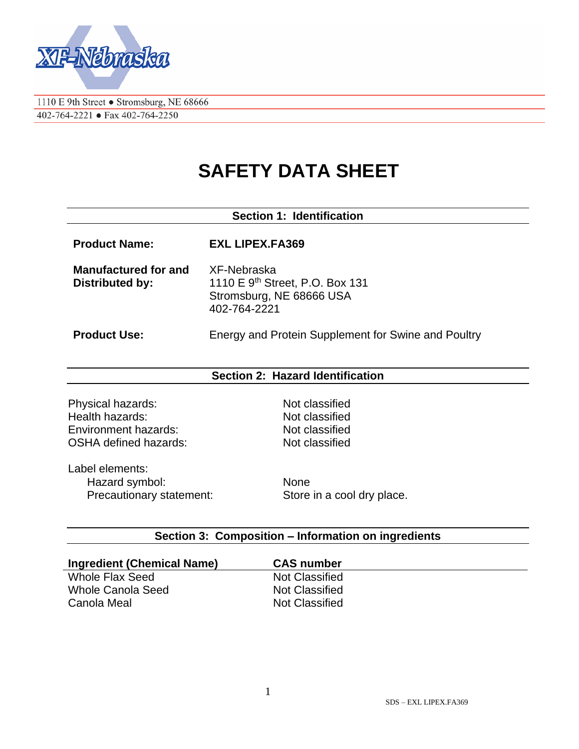

1110 E 9th Street • Stromsburg, NE 68666 402-764-2221 • Fax 402-764-2250

# **SAFETY DATA SHEET**

# **Section 1: Identification Product Name: EXL LIPEX.FA369 Manufactured for and Distributed by:** XF-Nebraska 1110 E 9<sup>th</sup> Street, P.O. Box 131 Stromsburg, NE 68666 USA 402-764-2221 **Product Use:** Energy and Protein Supplement for Swine and Poultry

#### **Section 2: Hazard Identification**

Physical hazards: Not classified Health hazards:<br>
Fnyironment hazards:<br>
Fnyironment hazards:<br>
Not classified Environment hazards: OSHA defined hazards: Not classified

Label elements: Hazard symbol: None Precautionary statement: Store in a cool dry place.

#### **Section 3: Composition – Information on ingredients**

| <b>Ingredient (Chemical Name)</b> | <b>CAS number</b>     |
|-----------------------------------|-----------------------|
| Whole Flax Seed                   | <b>Not Classified</b> |
| Whole Canola Seed                 | Not Classified        |
| Canola Meal                       | Not Classified        |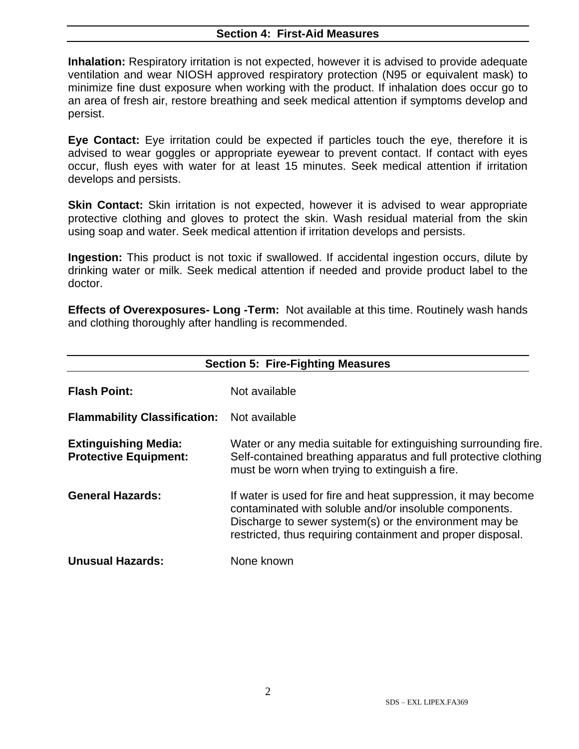#### **Section 4: First-Aid Measures**

**Inhalation:** Respiratory irritation is not expected, however it is advised to provide adequate ventilation and wear NIOSH approved respiratory protection (N95 or equivalent mask) to minimize fine dust exposure when working with the product. If inhalation does occur go to an area of fresh air, restore breathing and seek medical attention if symptoms develop and persist.

**Eye Contact:** Eye irritation could be expected if particles touch the eye, therefore it is advised to wear goggles or appropriate eyewear to prevent contact. If contact with eyes occur, flush eyes with water for at least 15 minutes. Seek medical attention if irritation develops and persists.

**Skin Contact:** Skin irritation is not expected, however it is advised to wear appropriate protective clothing and gloves to protect the skin. Wash residual material from the skin using soap and water. Seek medical attention if irritation develops and persists.

**Ingestion:** This product is not toxic if swallowed. If accidental ingestion occurs, dilute by drinking water or milk. Seek medical attention if needed and provide product label to the doctor.

**Effects of Overexposures- Long -Term:** Not available at this time. Routinely wash hands and clothing thoroughly after handling is recommended.

| <b>Section 5: Fire-Fighting Measures</b>                    |                                                                                                                                                                                                                                                  |  |
|-------------------------------------------------------------|--------------------------------------------------------------------------------------------------------------------------------------------------------------------------------------------------------------------------------------------------|--|
| <b>Flash Point:</b>                                         | Not available                                                                                                                                                                                                                                    |  |
| <b>Flammability Classification:</b>                         | Not available                                                                                                                                                                                                                                    |  |
| <b>Extinguishing Media:</b><br><b>Protective Equipment:</b> | Water or any media suitable for extinguishing surrounding fire.<br>Self-contained breathing apparatus and full protective clothing<br>must be worn when trying to extinguish a fire.                                                             |  |
| <b>General Hazards:</b>                                     | If water is used for fire and heat suppression, it may become<br>contaminated with soluble and/or insoluble components.<br>Discharge to sewer system(s) or the environment may be<br>restricted, thus requiring containment and proper disposal. |  |
| <b>Unusual Hazards:</b>                                     | None known                                                                                                                                                                                                                                       |  |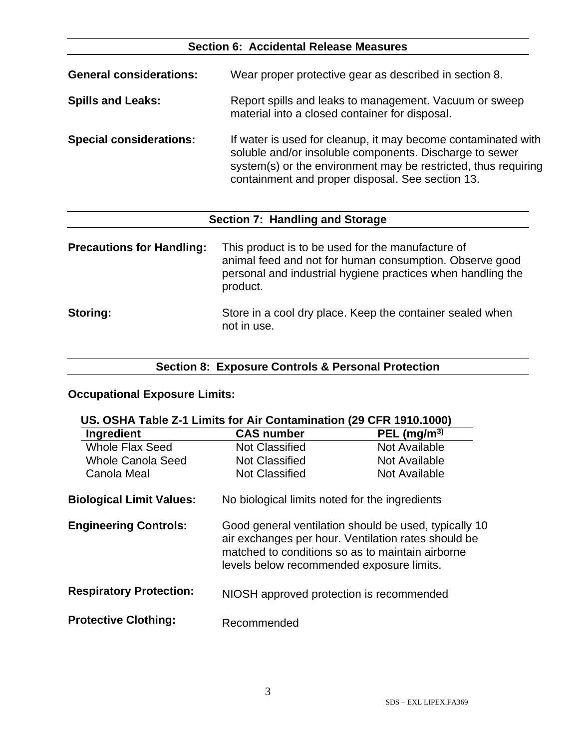# **Section 6: Accidental Release Measures**

| <b>General considerations:</b> | Wear proper protective gear as described in section 8.                                                                                                                                                                                         |
|--------------------------------|------------------------------------------------------------------------------------------------------------------------------------------------------------------------------------------------------------------------------------------------|
| <b>Spills and Leaks:</b>       | Report spills and leaks to management. Vacuum or sweep<br>material into a closed container for disposal.                                                                                                                                       |
| <b>Special considerations:</b> | If water is used for cleanup, it may become contaminated with<br>soluble and/or insoluble components. Discharge to sewer<br>system(s) or the environment may be restricted, thus requiring<br>containment and proper disposal. See section 13. |

# **Section 7: Handling and Storage**

| <b>Precautions for Handling:</b> | This product is to be used for the manufacture of<br>animal feed and not for human consumption. Observe good<br>personal and industrial hygiene practices when handling the<br>product. |
|----------------------------------|-----------------------------------------------------------------------------------------------------------------------------------------------------------------------------------------|
| <b>Storing:</b>                  | Store in a cool dry place. Keep the container sealed when<br>not in use.                                                                                                                |

# **Section 8: Exposure Controls & Personal Protection**

### **Occupational Exposure Limits:**

| US. OSHA Table Z-1 Limits for Air Contamination (29 CFR 1910.1000) |                                                                                                                                                                                                               |                |
|--------------------------------------------------------------------|---------------------------------------------------------------------------------------------------------------------------------------------------------------------------------------------------------------|----------------|
| Ingredient                                                         | <b>CAS number</b>                                                                                                                                                                                             | PEL $(mg/m^3)$ |
| Whole Flax Seed                                                    | <b>Not Classified</b>                                                                                                                                                                                         | Not Available  |
| <b>Whole Canola Seed</b>                                           | <b>Not Classified</b>                                                                                                                                                                                         | Not Available  |
| Canola Meal                                                        | <b>Not Classified</b>                                                                                                                                                                                         | Not Available  |
| <b>Biological Limit Values:</b>                                    | No biological limits noted for the ingredients                                                                                                                                                                |                |
| <b>Engineering Controls:</b>                                       | Good general ventilation should be used, typically 10<br>air exchanges per hour. Ventilation rates should be<br>matched to conditions so as to maintain airborne<br>levels below recommended exposure limits. |                |
| <b>Respiratory Protection:</b>                                     | NIOSH approved protection is recommended                                                                                                                                                                      |                |
| <b>Protective Clothing:</b>                                        | Recommended                                                                                                                                                                                                   |                |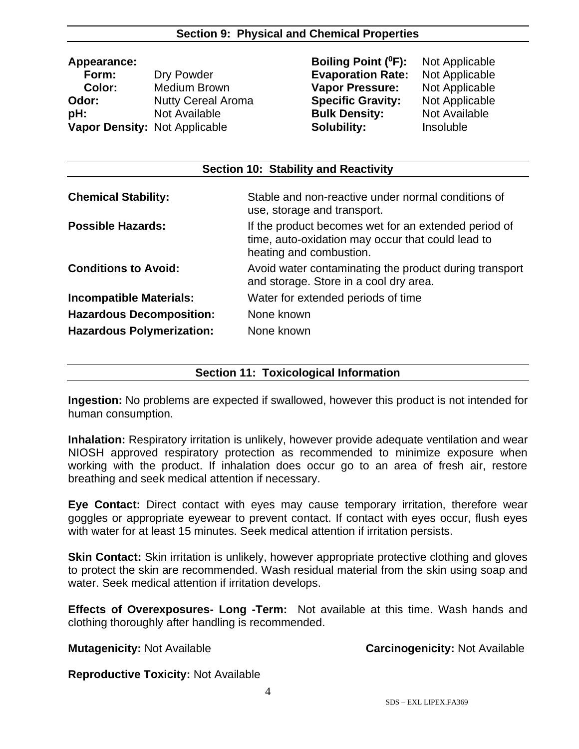#### **Section 9: Physical and Chemical Properties**

 **Form:** Dry Powder **Evaporation Rate:** Not Applicable  **Color:** Medium Brown **Vapor Pressure:** Not Applicable **Odor:** Nutty Cereal Aroma **Specific Gravity:** Not Applicable **pH:** Not Available **Bulk Density:** Not Available **Vapor Density:** Not Applicable **Solubility:** Insoluble

**Appearance: Boiling Point (<sup>0</sup>F):** Not Applicable

| Section 10: Stability and Reactivity |                                                                                                                                      |  |  |
|--------------------------------------|--------------------------------------------------------------------------------------------------------------------------------------|--|--|
| <b>Chemical Stability:</b>           | Stable and non-reactive under normal conditions of<br>use, storage and transport.                                                    |  |  |
| <b>Possible Hazards:</b>             | If the product becomes wet for an extended period of<br>time, auto-oxidation may occur that could lead to<br>heating and combustion. |  |  |
| <b>Conditions to Avoid:</b>          | Avoid water contaminating the product during transport<br>and storage. Store in a cool dry area.                                     |  |  |
| <b>Incompatible Materials:</b>       | Water for extended periods of time                                                                                                   |  |  |
| <b>Hazardous Decomposition:</b>      | None known                                                                                                                           |  |  |
| <b>Hazardous Polymerization:</b>     | None known                                                                                                                           |  |  |

#### **Section 11: Toxicological Information**

**Ingestion:** No problems are expected if swallowed, however this product is not intended for human consumption.

**Inhalation:** Respiratory irritation is unlikely, however provide adequate ventilation and wear NIOSH approved respiratory protection as recommended to minimize exposure when working with the product. If inhalation does occur go to an area of fresh air, restore breathing and seek medical attention if necessary.

**Eye Contact:** Direct contact with eyes may cause temporary irritation, therefore wear goggles or appropriate eyewear to prevent contact. If contact with eyes occur, flush eyes with water for at least 15 minutes. Seek medical attention if irritation persists.

**Skin Contact:** Skin irritation is unlikely, however appropriate protective clothing and gloves to protect the skin are recommended. Wash residual material from the skin using soap and water. Seek medical attention if irritation develops.

**Effects of Overexposures- Long -Term:** Not available at this time. Wash hands and clothing thoroughly after handling is recommended.

**Mutagenicity:** Not Available **Carcinogenicity:** Not Available

**Reproductive Toxicity:** Not Available